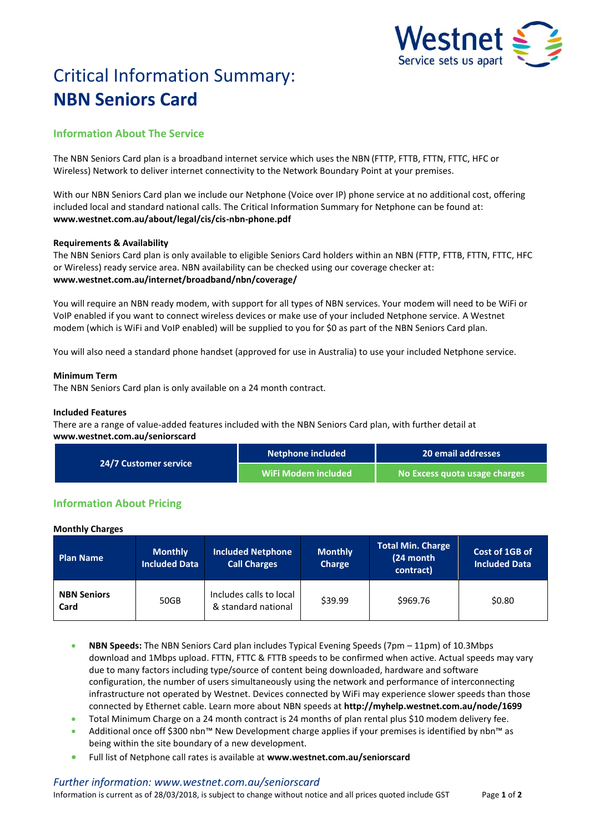

# Critical Information Summary: **NBN Seniors Card**

# **Information About The Service**

The NBN Seniors Card plan is a broadband internet service which uses the NBN (FTTP, FTTB, FTTN, FTTC, HFC or Wireless) Network to deliver internet connectivity to the Network Boundary Point at your premises.

With our NBN Seniors Card plan we include our Netphone (Voice over IP) phone service at no additional cost, offering included local and standard national calls. The Critical Information Summary for Netphone can be found at: **www.westnet.com.au/about/legal/cis/cis-nbn-phone.pdf**

## **Requirements & Availability**

The NBN Seniors Card plan is only available to eligible Seniors Card holders within an NBN (FTTP, FTTB, FTTN, FTTC, HFC or Wireless) ready service area. NBN availability can be checked using our coverage checker at: **www.westnet.com.au/internet/broadband/nbn/coverage/**

You will require an NBN ready modem, with support for all types of NBN services. Your modem will need to be WiFi or VoIP enabled if you want to connect wireless devices or make use of your included Netphone service. A Westnet modem (which is WiFi and VoIP enabled) will be supplied to you for \$0 as part of the NBN Seniors Card plan.

You will also need a standard phone handset (approved for use in Australia) to use your included Netphone service.

## **Minimum Term**

The NBN Seniors Card plan is only available on a 24 month contract.

#### **Included Features**

There are a range of value-added features included with the NBN Seniors Card plan, with further detail at **www.westnet.com.au/seniorscard**

| <b>24/7 Customer service</b> | Netphone included   | 20 email addresses            |  |
|------------------------------|---------------------|-------------------------------|--|
|                              | WiFi Modem included | No Excess quota usage charges |  |

# **Information About Pricing**

#### **Monthly Charges**

| <b>Plan Name</b>           | <b>Monthly</b><br><b>Included Data</b> | <b>Included Netphone</b><br><b>Call Charges</b> | <b>Monthly</b><br>Charge | <b>Total Min. Charge</b><br>(24 month<br>contract) | Cost of 1GB of<br><b>Included Data</b> |
|----------------------------|----------------------------------------|-------------------------------------------------|--------------------------|----------------------------------------------------|----------------------------------------|
| <b>NBN Seniors</b><br>Card | 50GB                                   | Includes calls to local<br>& standard national  | \$39.99                  | \$969.76                                           | \$0.80                                 |

- **NBN Speeds:** The NBN Seniors Card plan includes Typical Evening Speeds (7pm 11pm) of 10.3Mbps download and 1Mbps upload. FTTN, FTTC & FTTB speeds to be confirmed when active. Actual speeds may vary due to many factors including type/source of content being downloaded, hardware and software configuration, the number of users simultaneously using the network and performance of interconnecting infrastructure not operated by Westnet. Devices connected by WiFi may experience slower speeds than those connected by Ethernet cable. Learn more about NBN speeds at **http://myhelp.westnet.com.au/node/1699**
- Total Minimum Charge on a 24 month contract is 24 months of plan rental plus \$10 modem delivery fee.
- Additional once off \$300 nbn™ New Development charge applies if your premises is identified by nbn™ as being within the site boundary of a new development.
- Full list of Netphone call rates is available at **www.westnet.com.au/seniorscard**

## *Further information: www.westnet.com.au/seniorscard*

Information is current as of 28/03/2018, is subject to change without notice and all prices quoted include GST Page **1** of **2**